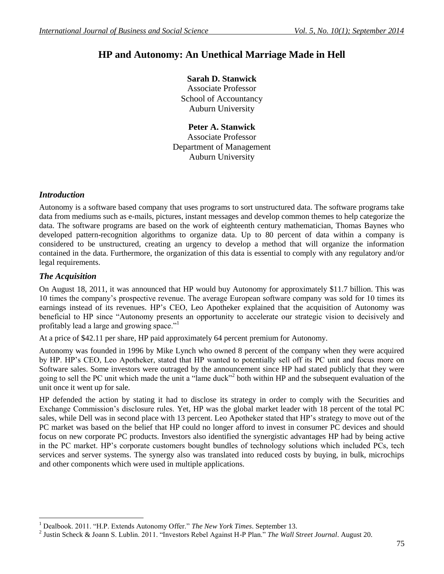# **HP and Autonomy: An Unethical Marriage Made in Hell**

# **Sarah D. Stanwick**

Associate Professor School of Accountancy Auburn University

**Peter A. Stanwick** Associate Professor Department of Management Auburn University

## *Introduction*

Autonomy is a software based company that uses programs to sort unstructured data. The software programs take data from mediums such as e-mails, pictures, instant messages and develop common themes to help categorize the data. The software programs are based on the work of eighteenth century mathematician, Thomas Baynes who developed pattern-recognition algorithms to organize data. Up to 80 percent of data within a company is considered to be unstructured, creating an urgency to develop a method that will organize the information contained in the data. Furthermore, the organization of this data is essential to comply with any regulatory and/or legal requirements.

## *The Acquisition*

 $\overline{a}$ 

On August 18, 2011, it was announced that HP would buy Autonomy for approximately \$11.7 billion. This was 10 times the company's prospective revenue. The average European software company was sold for 10 times its earnings instead of its revenues. HP's CEO, Leo Apotheker explained that the acquisition of Autonomy was beneficial to HP since "Autonomy presents an opportunity to accelerate our strategic vision to decisively and profitably lead a large and growing space."<sup>1</sup>

At a price of \$42.11 per share, HP paid approximately 64 percent premium for Autonomy.

Autonomy was founded in 1996 by Mike Lynch who owned 8 percent of the company when they were acquired by HP. HP's CEO, Leo Apotheker, stated that HP wanted to potentially sell off its PC unit and focus more on Software sales. Some investors were outraged by the announcement since HP had stated publicly that they were going to sell the PC unit which made the unit a "lame duck"<sup>2</sup> both within HP and the subsequent evaluation of the unit once it went up for sale.

HP defended the action by stating it had to disclose its strategy in order to comply with the Securities and Exchange Commission's disclosure rules. Yet, HP was the global market leader with 18 percent of the total PC sales, while Dell was in second place with 13 percent. Leo Apotheker stated that HP's strategy to move out of the PC market was based on the belief that HP could no longer afford to invest in consumer PC devices and should focus on new corporate PC products. Investors also identified the synergistic advantages HP had by being active in the PC market. HP's corporate customers bought bundles of technology solutions which included PCs, tech services and server systems. The synergy also was translated into reduced costs by buying, in bulk, microchips and other components which were used in multiple applications.

<sup>1</sup> Dealbook. 2011. "H.P. Extends Autonomy Offer." *The New York Times*. September 13.

<sup>2</sup> Justin Scheck & Joann S. Lublin. 2011. "Investors Rebel Against H-P Plan." *The Wall Street Journal*. August 20.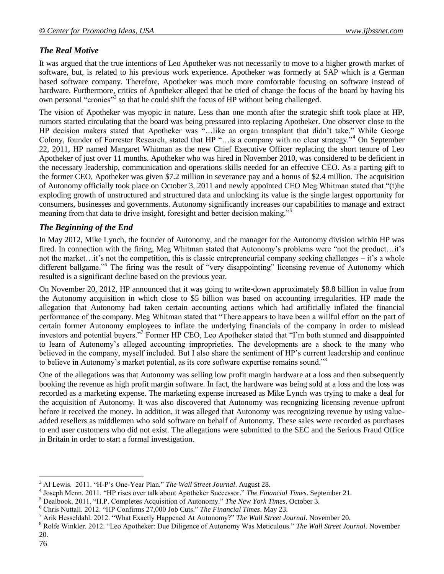# *The Real Motive*

It was argued that the true intentions of Leo Apotheker was not necessarily to move to a higher growth market of software, but, is related to his previous work experience. Apotheker was formerly at SAP which is a German based software company. Therefore, Apotheker was much more comfortable focusing on software instead of hardware. Furthermore, critics of Apotheker alleged that he tried of change the focus of the board by having his own personal "cronies"<sup>3</sup> so that he could shift the focus of HP without being challenged.

The vision of Apotheker was myopic in nature. Less than one month after the strategic shift took place at HP, rumors started circulating that the board was being pressured into replacing Apotheker. One observer close to the HP decision makers stated that Apotheker was "…like an organ transplant that didn't take." While George Colony, founder of Forrester Research, stated that HP "…is a company with no clear strategy."<sup>4</sup> On September 22, 2011, HP named Margaret Whitman as the new Chief Executive Officer replacing the short tenure of Leo Apotheker of just over 11 months. Apotheker who was hired in November 2010, was considered to be deficient in the necessary leadership, communication and operations skills needed for an effective CEO. As a parting gift to the former CEO, Apotheker was given \$7.2 million in severance pay and a bonus of \$2.4 million. The acquisition of Autonomy officially took place on October 3, 2011 and newly appointed CEO Meg Whitman stated that "(t)he exploding growth of unstructured and structured data and unlocking its value is the single largest opportunity for consumers, businesses and governments. Autonomy significantly increases our capabilities to manage and extract meaning from that data to drive insight, foresight and better decision making."<sup>5</sup>

# *The Beginning of the End*

In May 2012, Mike Lynch, the founder of Autonomy, and the manager for the Autonomy division within HP was fired. In connection with the firing, Meg Whitman stated that Autonomy's problems were "not the product…it's not the market…it's not the competition, this is classic entrepreneurial company seeking challenges – it's a whole different ballgame."<sup>6</sup> The firing was the result of "very disappointing" licensing revenue of Autonomy which resulted is a significant decline based on the previous year.

On November 20, 2012, HP announced that it was going to write-down approximately \$8.8 billion in value from the Autonomy acquisition in which close to \$5 billion was based on accounting irregularities. HP made the allegation that Autonomy had taken certain accounting actions which had artificially inflated the financial performance of the company. Meg Whitman stated that "There appears to have been a willful effort on the part of certain former Autonomy employees to inflate the underlying financials of the company in order to mislead investors and potential buyers."<sup>7</sup> Former HP CEO, Leo Apotheker stated that "I'm both stunned and disappointed to learn of Autonomy's alleged accounting improprieties. The developments are a shock to the many who believed in the company, myself included. But I also share the sentiment of HP's current leadership and continue to believe in Autonomy's market potential, as its core software expertise remains sound."<sup>8</sup>

One of the allegations was that Autonomy was selling low profit margin hardware at a loss and then subsequently booking the revenue as high profit margin software. In fact, the hardware was being sold at a loss and the loss was recorded as a marketing expense. The marketing expense increased as Mike Lynch was trying to make a deal for the acquisition of Autonomy. It was also discovered that Autonomy was recognizing licensing revenue upfront before it received the money. In addition, it was alleged that Autonomy was recognizing revenue by using valueadded resellers as middlemen who sold software on behalf of Autonomy. These sales were recorded as purchases to end user customers who did not exist. The allegations were submitted to the SEC and the Serious Fraud Office in Britain in order to start a formal investigation.

 $\overline{a}$ 

<sup>3</sup> Al Lewis. 2011. "H-P's One-Year Plan." *The Wall Street Journal*. August 28.

<sup>4</sup> Joseph Menn. 2011. "HP rises over talk about Apotheker Successor." *The Financial Times*. September 21.

<sup>5</sup> Dealbook. 2011. "H.P. Completes Acquisition of Autonomy." *The New York Times*. October 3.

<sup>6</sup> Chris Nuttall. 2012. "HP Confirms 27,000 Job Cuts." *The Financial Times*. May 23.

<sup>7</sup> Arik Hesseldahl. 2012. "What Exactly Happened At Autonomy?" *The Wall Street Journal*. November 20.

<sup>8</sup> Rolfe Winkler. 2012. "Leo Apotheker: Due Diligence of Autonomy Was Meticulous." *The Wall Street Journal*. November 20.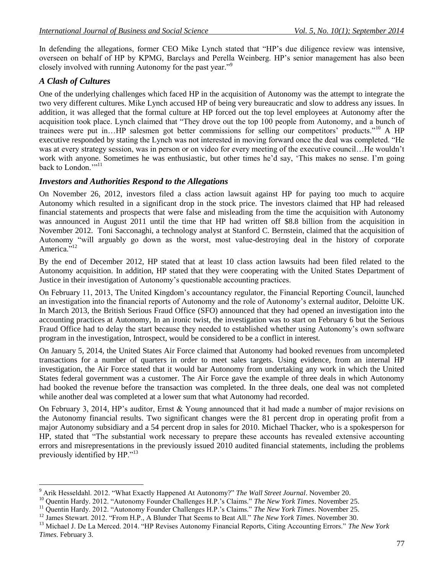In defending the allegations, former CEO Mike Lynch stated that "HP's due diligence review was intensive, overseen on behalf of HP by KPMG, Barclays and Perella Weinberg. HP's senior management has also been closely involved with running Autonomy for the past year."<sup>9</sup>

## *A Clash of Cultures*

One of the underlying challenges which faced HP in the acquisition of Autonomy was the attempt to integrate the two very different cultures. Mike Lynch accused HP of being very bureaucratic and slow to address any issues. In addition, it was alleged that the formal culture at HP forced out the top level employees at Autonomy after the acquisition took place. Lynch claimed that "They drove out the top 100 people from Autonomy, and a bunch of trainees were put in…HP salesmen got better commissions for selling our competitors' products."<sup>10</sup> A HP executive responded by stating the Lynch was not interested in moving forward once the deal was completed. "He was at every strategy session, was in person or on video for every meeting of the executive council…He wouldn't work with anyone. Sometimes he was enthusiastic, but other times he'd say, 'This makes no sense. I'm going back to London<sup>"111</sup>

## *Investors and Authorities Respond to the Allegations*

On November 26, 2012, investors filed a class action lawsuit against HP for paying too much to acquire Autonomy which resulted in a significant drop in the stock price. The investors claimed that HP had released financial statements and prospects that were false and misleading from the time the acquisition with Autonomy was announced in August 2011 until the time that HP had written off \$8.8 billion from the acquisition in November 2012. Toni Sacconaghi, a technology analyst at Stanford C. Bernstein, claimed that the acquisition of Autonomy "will arguably go down as the worst, most value-destroying deal in the history of corporate America."<sup>12</sup>

By the end of December 2012, HP stated that at least 10 class action lawsuits had been filed related to the Autonomy acquisition. In addition, HP stated that they were cooperating with the United States Department of Justice in their investigation of Autonomy's questionable accounting practices.

On February 11, 2013, The United Kingdom's accountancy regulator, the Financial Reporting Council, launched an investigation into the financial reports of Autonomy and the role of Autonomy's external auditor, Deloitte UK. In March 2013, the British Serious Fraud Office (SFO) announced that they had opened an investigation into the accounting practices at Autonomy, In an ironic twist, the investigation was to start on February 6 but the Serious Fraud Office had to delay the start because they needed to established whether using Autonomy's own software program in the investigation, Introspect, would be considered to be a conflict in interest.

On January 5, 2014, the United States Air Force claimed that Autonomy had booked revenues from uncompleted transactions for a number of quarters in order to meet sales targets. Using evidence, from an internal HP investigation, the Air Force stated that it would bar Autonomy from undertaking any work in which the United States federal government was a customer. The Air Force gave the example of three deals in which Autonomy had booked the revenue before the transaction was completed. In the three deals, one deal was not completed while another deal was completed at a lower sum that what Autonomy had recorded.

On February 3, 2014, HP's auditor, Ernst & Young announced that it had made a number of major revisions on the Autonomy financial results. Two significant changes were the 81 percent drop in operating profit from a major Autonomy subsidiary and a 54 percent drop in sales for 2010. Michael Thacker, who is a spokesperson for HP, stated that "The substantial work necessary to prepare these accounts has revealed extensive accounting errors and misrepresentations in the previously issued 2010 audited financial statements, including the problems previously identified by HP."<sup>13</sup>

 $\overline{a}$ <sup>9</sup> Arik Hesseldahl. 2012. "What Exactly Happened At Autonomy?" *The Wall Street Journal*. November 20.

<sup>10</sup> Quentin Hardy. 2012. "Autonomy Founder Challenges H.P.'s Claims." *The New York Times*. November 25.

<sup>&</sup>lt;sup>11</sup> Quentin Hardy. 2012. "Autonomy Founder Challenges H.P.'s Claims." *The New York Times*. November 25.

<sup>&</sup>lt;sup>12</sup> James Stewart. 2012. "From H.P., A Blunder That Seems to Beat All." *The New York Times*. November 30.

<sup>13</sup> Michael J. De La Merced. 2014. "HP Revises Autonomy Financial Reports, Citing Accounting Errors." *The New York Times*. February 3.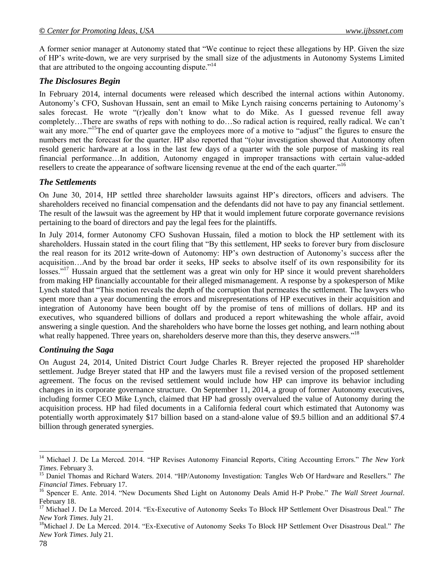A former senior manager at Autonomy stated that "We continue to reject these allegations by HP. Given the size of HP's write-down, we are very surprised by the small size of the adjustments in Autonomy Systems Limited that are attributed to the ongoing accounting dispute.<sup> $14$ </sup>

### *The Disclosures Begin*

In February 2014, internal documents were released which described the internal actions within Autonomy. Autonomy's CFO, Sushovan Hussain, sent an email to Mike Lynch raising concerns pertaining to Autonomy's sales forecast. He wrote "(r)eally don't know what to do Mike. As I guessed revenue fell away completely…There are swaths of reps with nothing to do…So radical action is required, really radical. We can't wait any more."<sup>15</sup>The end of quarter gave the employees more of a motive to "adjust" the figures to ensure the numbers met the forecast for the quarter. HP also reported that "(o)ur investigation showed that Autonomy often resold generic hardware at a loss in the last few days of a quarter with the sole purpose of masking its real financial performance…In addition, Autonomy engaged in improper transactions with certain value-added resellers to create the appearance of software licensing revenue at the end of the each quarter."<sup>16</sup>

### *The Settlements*

On June 30, 2014, HP settled three shareholder lawsuits against HP's directors, officers and advisers. The shareholders received no financial compensation and the defendants did not have to pay any financial settlement. The result of the lawsuit was the agreement by HP that it would implement future corporate governance revisions pertaining to the board of directors and pay the legal fees for the plaintiffs.

In July 2014, former Autonomy CFO Sushovan Hussain, filed a motion to block the HP settlement with its shareholders. Hussain stated in the court filing that "By this settlement, HP seeks to forever bury from disclosure the real reason for its 2012 write-down of Autonomy: HP's own destruction of Autonomy's success after the acquisition…And by the broad bar order it seeks, HP seeks to absolve itself of its own responsibility for its losses."<sup>17</sup> Hussain argued that the settlement was a great win only for HP since it would prevent shareholders from making HP financially accountable for their alleged mismanagement. A response by a spokesperson of Mike Lynch stated that "This motion reveals the depth of the corruption that permeates the settlement. The lawyers who spent more than a year documenting the errors and misrepresentations of HP executives in their acquisition and integration of Autonomy have been bought off by the promise of tens of millions of dollars. HP and its executives, who squandered billions of dollars and produced a report whitewashing the whole affair, avoid answering a single question. And the shareholders who have borne the losses get nothing, and learn nothing about what really happened. Three years on, shareholders deserve more than this, they deserve answers."<sup>18</sup>

### *Continuing the Saga*

On August 24, 2014, United District Court Judge Charles R. Breyer rejected the proposed HP shareholder settlement. Judge Breyer stated that HP and the lawyers must file a revised version of the proposed settlement agreement. The focus on the revised settlement would include how HP can improve its behavior including changes in its corporate governance structure. On September 11, 2014, a group of former Autonomy executives, including former CEO Mike Lynch, claimed that HP had grossly overvalued the value of Autonomy during the acquisition process. HP had filed documents in a California federal court which estimated that Autonomy was potentially worth approximately \$17 billion based on a stand-alone value of \$9.5 billion and an additional \$7.4 billion through generated synergies.

 $\overline{a}$ 

<sup>14</sup> Michael J. De La Merced. 2014. "HP Revises Autonomy Financial Reports, Citing Accounting Errors." *The New York Times*. February 3.

<sup>15</sup> Daniel Thomas and Richard Waters. 2014. "HP/Autonomy Investigation: Tangles Web Of Hardware and Resellers." *The Financial Times*. February 17.

<sup>16</sup> Spencer E. Ante. 2014. "New Documents Shed Light on Autonomy Deals Amid H-P Probe." *The Wall Street Journal*. February 18.

<sup>17</sup> Michael J. De La Merced. 2014. "Ex-Executive of Autonomy Seeks To Block HP Settlement Over Disastrous Deal." *The New York Times*. July 21.

<sup>18</sup>Michael J. De La Merced. 2014. "Ex-Executive of Autonomy Seeks To Block HP Settlement Over Disastrous Deal." *The New York Times*. July 21.